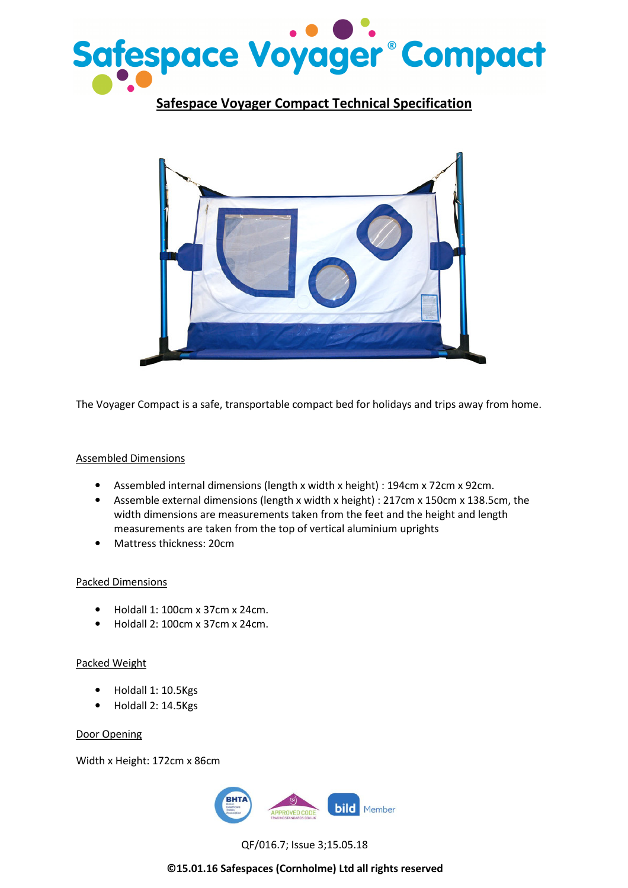

Safespace Voyager Compact Technical Specification



The Voyager Compact is a safe, transportable compact bed for holidays and trips away from home.

# Assembled Dimensions

- Assembled internal dimensions (length x width x height) : 194cm x 72cm x 92cm.
- Assemble external dimensions (length x width x height) : 217cm x 150cm x 138.5cm, the width dimensions are measurements taken from the feet and the height and length measurements are taken from the top of vertical aluminium uprights
- Mattress thickness: 20cm

## Packed Dimensions

- Holdall 1: 100cm x 37cm x 24cm.
- Holdall 2: 100cm x 37cm x 24cm.

## Packed Weight

- Holdall 1: 10.5Kgs
- Holdall 2: 14.5Kgs

#### Door Opening

Width x Height: 172cm x 86cm



QF/016.7; Issue 3;15.05.18

©15.01.16 Safespaces (Cornholme) Ltd all rights reserved